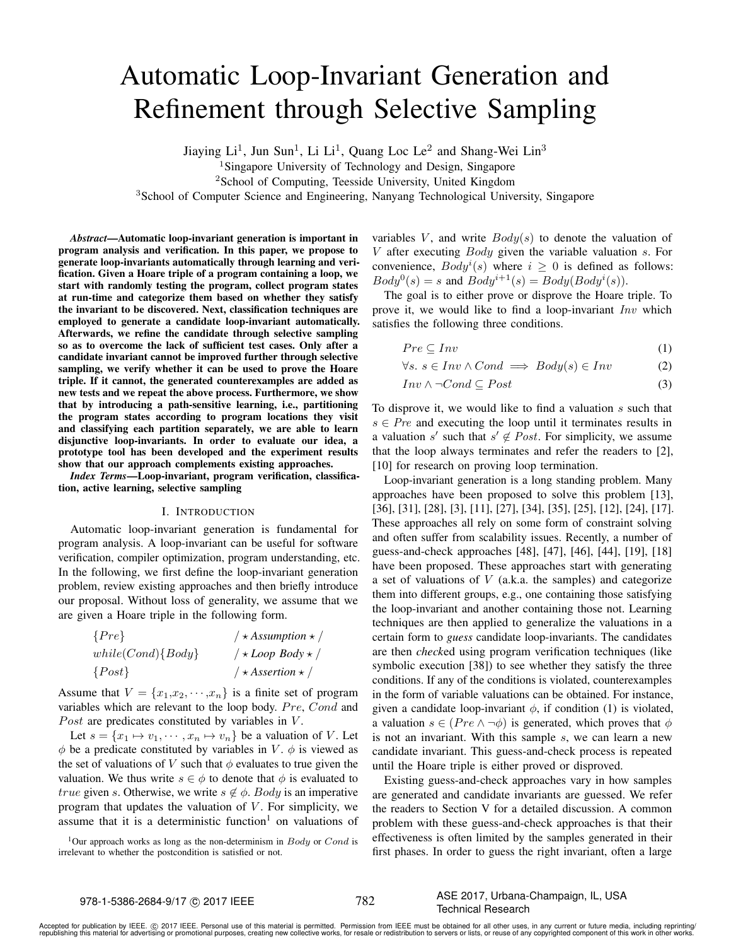# Automatic Loop-Invariant Generation and Refinement through Selective Sampling

Jiaying Li<sup>1</sup>, Jun Sun<sup>1</sup>, Li Li<sup>1</sup>, Quang Loc Le<sup>2</sup> and Shang-Wei Lin<sup>3</sup>

<sup>1</sup>Singapore University of Technology and Design, Singapore

<sup>2</sup>School of Computing, Teesside University, United Kingdom

<sup>3</sup>School of Computer Science and Engineering, Nanyang Technological University, Singapore

*Abstract*—Automatic loop-invariant generation is important in program analysis and verification. In this paper, we propose to generate loop-invariants automatically through learning and verification. Given a Hoare triple of a program containing a loop, we start with randomly testing the program, collect program states at run-time and categorize them based on whether they satisfy the invariant to be discovered. Next, classification techniques are employed to generate a candidate loop-invariant automatically. Afterwards, we refine the candidate through selective sampling so as to overcome the lack of sufficient test cases. Only after a candidate invariant cannot be improved further through selective sampling, we verify whether it can be used to prove the Hoare triple. If it cannot, the generated counterexamples are added as new tests and we repeat the above process. Furthermore, we show that by introducing a path-sensitive learning, i.e., partitioning the program states according to program locations they visit and classifying each partition separately, we are able to learn disjunctive loop-invariants. In order to evaluate our idea, a prototype tool has been developed and the experiment results show that our approach complements existing approaches.

*Index Terms*—Loop-invariant, program verification, classification, active learning, selective sampling

#### I. INTRODUCTION

Automatic loop-invariant generation is fundamental for program analysis. A loop-invariant can be useful for software verification, compiler optimization, program understanding, etc. In the following, we first define the loop-invariant generation problem, review existing approaches and then briefly introduce our proposal. Without loss of generality, we assume that we are given a Hoare triple in the following form.

| $\{Pre\}$            | $\frac{1}{\times}$ Assumption $\star$ /                                               |
|----------------------|---------------------------------------------------------------------------------------|
| $while (Cond){Body}$ | $\rightarrow$ Loop Body $\star$ /                                                     |
| $\{Post\}$           | $\frac{\triangle}{\triangle}$ $\land$ Assertion $\star$ $\frac{\triangle}{\triangle}$ |

Assume that  $V = \{x_1, x_2, \dots, x_n\}$  is a finite set of program variables which are relevant to the loop body.  $Pre, Cond$  and Post are predicates constituted by variables in  $V$ .

Let  $s = \{x_1 \mapsto v_1, \dots, x_n \mapsto v_n\}$  be a valuation of V. Let  $\phi$  be a predicate constituted by variables in V.  $\phi$  is viewed as the set of valuations of V such that  $\phi$  evaluates to true given the valuation. We thus write  $s \in \phi$  to denote that  $\phi$  is evaluated to *true* given s. Otherwise, we write  $s \notin \phi$ . Body is an imperative program that updates the valuation of  $V$ . For simplicity, we assume that it is a deterministic function<sup>1</sup> on valuations of

<sup>1</sup>Our approach works as long as the non-determinism in *Body* or *Cond* is irrelevant to whether the postcondition is satisfied or not.

variables V, and write  $Body(s)$  to denote the valuation of V after executing  $Body$  given the variable valuation  $s$ . For convenience,  $Body<sup>i</sup>(s)$  where  $i \geq 0$  is defined as follows:  $Body^0(s) = s$  and  $Body^{i+1}(s) = Body(Body^i(s)).$ 

The goal is to either prove or disprove the Hoare triple. To prove it, we would like to find a loop-invariant Inv which satisfies the following three conditions.

$$
Pre \subseteq Inv \tag{1}
$$

 $\forall s. s \in Inv \land Cond \implies Body(s) \in Inv$  (2)

 $Inv \wedge \neg Cond \subseteq Post$  (3)

To disprove it, we would like to find a valuation  $s$  such that  $s \in Pre$  and executing the loop until it terminates results in a valuation s' such that  $s' \notin Post$ . For simplicity, we assume that the loop always terminates and refer the readers to [2], [10] for research on proving loop termination.

Loop-invariant generation is a long standing problem. Many approaches have been proposed to solve this problem [13], [36], [31], [28], [3], [11], [27], [34], [35], [25], [12], [24], [17]. These approaches all rely on some form of constraint solving and often suffer from scalability issues. Recently, a number of guess-and-check approaches [48], [47], [46], [44], [19], [18] have been proposed. These approaches start with generating a set of valuations of  $V$  (a.k.a. the samples) and categorize them into different groups, e.g., one containing those satisfying the loop-invariant and another containing those not. Learning techniques are then applied to generalize the valuations in a certain form to *guess* candidate loop-invariants. The candidates are then *check*ed using program verification techniques (like symbolic execution [38]) to see whether they satisfy the three conditions. If any of the conditions is violated, counterexamples in the form of variable valuations can be obtained. For instance, given a candidate loop-invariant  $\phi$ , if condition (1) is violated, a valuation  $s \in (Pre \land \neg \phi)$  is generated, which proves that  $\phi$ is not an invariant. With this sample s, we can learn a new candidate invariant. This guess-and-check process is repeated until the Hoare triple is either proved or disproved.

Existing guess-and-check approaches vary in how samples are generated and candidate invariants are guessed. We refer the readers to Section V for a detailed discussion. A common problem with these guess-and-check approaches is that their effectiveness is often limited by the samples generated in their first phases. In order to guess the right invariant, often a large

782

#### 978-1-5386-2684-9/17 © 2017 IEEE 782 ASE 2017, Urbana-Champaign, IL, USA Technical Research

Accepted for publication by IEEE. © 2017 IEEE. Personal use of this material is permitted. Permission from IEEE must be obtained for all other uses, in any current or future media, including reprinting/<br>republishing this m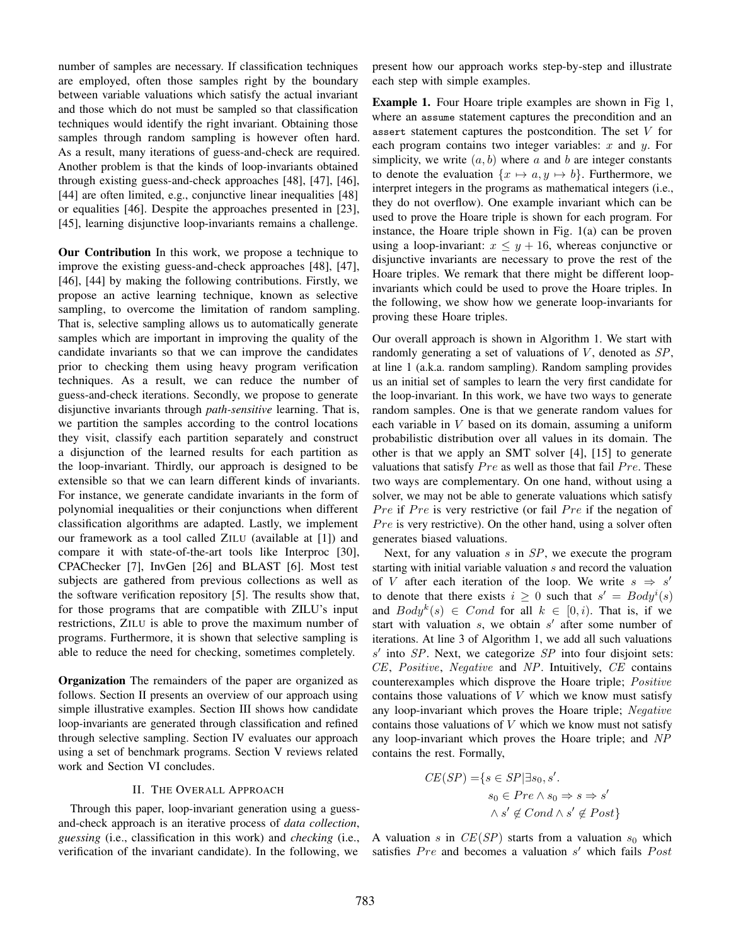783

number of samples are necessary. If classification techniques are employed, often those samples right by the boundary between variable valuations which satisfy the actual invariant and those which do not must be sampled so that classification techniques would identify the right invariant. Obtaining those samples through random sampling is however often hard. As a result, many iterations of guess-and-check are required. Another problem is that the kinds of loop-invariants obtained through existing guess-and-check approaches [48], [47], [46], [44] are often limited, e.g., conjunctive linear inequalities [48] or equalities [46]. Despite the approaches presented in [23], [45], learning disjunctive loop-invariants remains a challenge.

Our Contribution In this work, we propose a technique to improve the existing guess-and-check approaches [48], [47], [46], [44] by making the following contributions. Firstly, we propose an active learning technique, known as selective sampling, to overcome the limitation of random sampling. That is, selective sampling allows us to automatically generate samples which are important in improving the quality of the candidate invariants so that we can improve the candidates prior to checking them using heavy program verification techniques. As a result, we can reduce the number of guess-and-check iterations. Secondly, we propose to generate disjunctive invariants through *path-sensitive* learning. That is, we partition the samples according to the control locations they visit, classify each partition separately and construct a disjunction of the learned results for each partition as the loop-invariant. Thirdly, our approach is designed to be extensible so that we can learn different kinds of invariants. For instance, we generate candidate invariants in the form of polynomial inequalities or their conjunctions when different classification algorithms are adapted. Lastly, we implement our framework as a tool called ZILU (available at [1]) and compare it with state-of-the-art tools like Interproc [30], CPAChecker [7], InvGen [26] and BLAST [6]. Most test subjects are gathered from previous collections as well as the software verification repository [5]. The results show that, for those programs that are compatible with ZILU's input restrictions, ZILU is able to prove the maximum number of programs. Furthermore, it is shown that selective sampling is able to reduce the need for checking, sometimes completely.

Organization The remainders of the paper are organized as follows. Section II presents an overview of our approach using simple illustrative examples. Section III shows how candidate loop-invariants are generated through classification and refined through selective sampling. Section IV evaluates our approach using a set of benchmark programs. Section V reviews related work and Section VI concludes.

# II. THE OVERALL APPROACH

Through this paper, loop-invariant generation using a guessand-check approach is an iterative process of *data collection*, *guessing* (i.e., classification in this work) and *checking* (i.e., verification of the invariant candidate). In the following, we

present how our approach works step-by-step and illustrate each step with simple examples.

Example 1. Four Hoare triple examples are shown in Fig 1, where an assume statement captures the precondition and an assert statement captures the postcondition. The set  $V$  for each program contains two integer variables:  $x$  and  $y$ . For simplicity, we write  $(a, b)$  where a and b are integer constants to denote the evaluation  $\{x \mapsto a, y \mapsto b\}$ . Furthermore, we interpret integers in the programs as mathematical integers (i.e., they do not overflow). One example invariant which can be used to prove the Hoare triple is shown for each program. For instance, the Hoare triple shown in Fig. 1(a) can be proven using a loop-invariant:  $x \leq y + 16$ , whereas conjunctive or disjunctive invariants are necessary to prove the rest of the Hoare triples. We remark that there might be different loopinvariants which could be used to prove the Hoare triples. In the following, we show how we generate loop-invariants for proving these Hoare triples.

Our overall approach is shown in Algorithm 1. We start with randomly generating a set of valuations of  $V$ , denoted as  $SP$ , at line 1 (a.k.a. random sampling). Random sampling provides us an initial set of samples to learn the very first candidate for the loop-invariant. In this work, we have two ways to generate random samples. One is that we generate random values for each variable in V based on its domain, assuming a uniform probabilistic distribution over all values in its domain. The other is that we apply an SMT solver [4], [15] to generate valuations that satisfy  $Pre$  as well as those that fail  $Pre$ . These two ways are complementary. On one hand, without using a solver, we may not be able to generate valuations which satisfy *Pre* if Pre is very restrictive (or fail Pre if the negation of  $Pre$  is very restrictive). On the other hand, using a solver often generates biased valuations.

Next, for any valuation  $s$  in  $SP$ , we execute the program starting with initial variable valuation s and record the valuation of V after each iteration of the loop. We write  $s \Rightarrow s'$ to denote that there exists  $i \geq 0$  such that  $s' = Body^i(s)$ and  $Body^k(s) \in Cond$  for all  $k \in [0, i)$ . That is, if we start with valuation  $s$ , we obtain  $s'$  after some number of iterations. At line 3 of Algorithm 1, we add all such valuations  $s'$  into  $SP$ . Next, we categorize  $SP$  into four disjoint sets: CE, Positive, Negative and NP. Intuitively, CE contains counterexamples which disprove the Hoare triple; Positive contains those valuations of  $V$  which we know must satisfy any loop-invariant which proves the Hoare triple; Negative contains those valuations of  $V$  which we know must not satisfy any loop-invariant which proves the Hoare triple; and NP contains the rest. Formally,

$$
CE(SP) = \{ s \in SP | \exists s_0, s'.
$$
  

$$
s_0 \in Pre \land s_0 \Rightarrow s \Rightarrow s'
$$
  

$$
\land s' \notin Cond \land s' \notin Post \}
$$

A valuation s in  $CE(SP)$  starts from a valuation  $s_0$  which satisfies  $Pre$  and becomes a valuation  $s'$  which fails  $Post$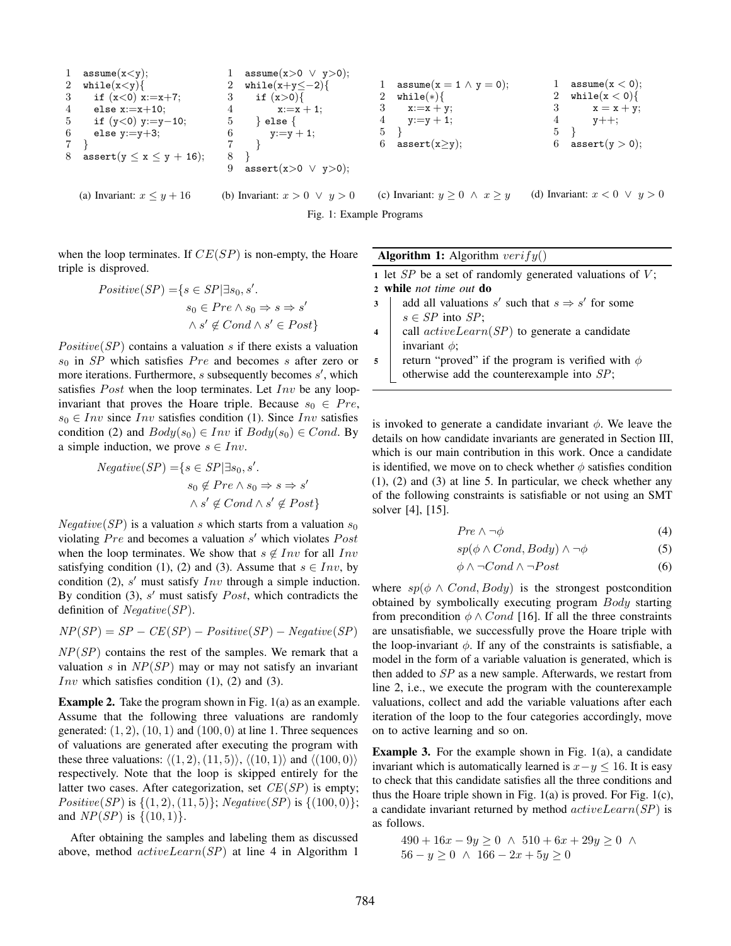1 assume(x<y); 2 while(x<y){ 3 if (x<0) x:=x+7; 4 else x:=x+10; 5 if (y<0) y:=y−10; 6 else y:=y+3; 7 } 8 assert(y ≤ x ≤ y + 16); (a) Invariant: x ≤ y + 16 1 assume(x>0 ∨ y>0); 2 while(x+y≤−2){ 3 if (x>0){ 4 x:=x + 1; 5 } else { 6 y:=y + 1; 7 } 8 } 9 assert(x>0 ∨ y>0); (b) Invariant: x > 0 ∨ y > 0 1 assume(x = 1 ∧ y = 0); 2 while(∗){ 3 x:=x + y; 4 y:=y + 1; 5 } 6 assert(x≥y); (c) Invariant: y ≥ 0 ∧ x ≥ y 1 assume(x < 0); 2 while(x < 0){ 3 x = x + y; 4 y++; 5 } 6 assert(y > 0); (d) Invariant: x < 0 ∨ y > 0

Fig. 1: Example Programs

when the loop terminates. If  $CE(SP)$  is non-empty, the Hoare triple is disproved.

$$
Positive(SP) = \{ s \in SP | \exists s_0, s'.
$$
  

$$
s_0 \in Pre \land s_0 \Rightarrow s \Rightarrow s'
$$
  

$$
\land s' \notin Cond \land s' \in Post \}
$$

 $Positive(SP)$  contains a valuation s if there exists a valuation  $s_0$  in SP which satisfies Pre and becomes s after zero or more iterations. Furthermore,  $s$  subsequently becomes  $s'$ , which satisfies *Post* when the loop terminates. Let  $Inv$  be any loopinvariant that proves the Hoare triple. Because  $s_0 \in Pre$ ,  $s_0 \in Inv$  since Inv satisfies condition (1). Since Inv satisfies condition (2) and  $Body(s_0) \in Inv$  if  $Body(s_0) \in Cond$ . By a simple induction, we prove  $s \in Inv$ .

$$
Negative(SP) = \{s \in SP | \exists s_0, s'.
$$
  

$$
s_0 \notin Pre \land s_0 \Rightarrow s \Rightarrow s'
$$
  

$$
\land s' \notin Cond \land s' \notin Post\}
$$

 $Negative(SP)$  is a valuation s which starts from a valuation  $s_0$ violating  $Pre$  and becomes a valuation  $s'$  which violates  $Post$ when the loop terminates. We show that  $s \notin Inv$  for all  $Inv$ satisfying condition (1), (2) and (3). Assume that  $s \in Inv$ , by condition (2),  $s'$  must satisfy  $Inv$  through a simple induction. By condition (3),  $s'$  must satisfy  $Post$ , which contradicts the definition of  $Negative(SP)$ .

$$
NP(SP) = SP - CE(SP) - Positive(SP) - Negative(SP)
$$

 $NP(SP)$  contains the rest of the samples. We remark that a valuation s in  $NP(SP)$  may or may not satisfy an invariant *Inv* which satisfies condition  $(1)$ ,  $(2)$  and  $(3)$ .

Example 2. Take the program shown in Fig. 1(a) as an example. Assume that the following three valuations are randomly generated:  $(1, 2)$ ,  $(10, 1)$  and  $(100, 0)$  at line 1. Three sequences of valuations are generated after executing the program with these three valuations:  $\langle (1, 2), (11, 5) \rangle$ ,  $\langle (10, 1) \rangle$  and  $\langle (100, 0) \rangle$ respectively. Note that the loop is skipped entirely for the latter two cases. After categorization, set  $CE(SP)$  is empty; *Positive*(*SP*) is  $\{(1, 2), (11, 5)\}$ ; *Negative*(*SP*) is  $\{(100, 0)\}$ ; and  $NP(SP)$  is  $\{(10, 1)\}.$ 

After obtaining the samples and labeling them as discussed above, method  $activeLearn(SP)$  at line 4 in Algorithm 1 Algorithm 1: Algorithm  $verify()$ 

- 1 let  $SP$  be a set of randomly generated valuations of  $V$ ; <sup>2</sup> while *not time out* do
- 3 add all valuations s' such that  $s \Rightarrow s'$  for some  $s \in SP$  into  $SP$ ;

4 call  $activeLearn(SP)$  to generate a candidate invariant  $\phi$ ;

5 return "proved" if the program is verified with  $\phi$ otherwise add the counterexample into SP;

is invoked to generate a candidate invariant  $\phi$ . We leave the details on how candidate invariants are generated in Section III, which is our main contribution in this work. Once a candidate is identified, we move on to check whether  $\phi$  satisfies condition (1), (2) and (3) at line 5. In particular, we check whether any of the following constraints is satisfiable or not using an SMT solver [4], [15].

$$
Pre \wedge \neg \phi \tag{4}
$$

$$
sp(\phi \land Cond, Body) \land \neg \phi \tag{5}
$$

$$
\phi \wedge \neg Cond \wedge \neg Post \tag{6}
$$

where  $sp(\phi \land Cond, Body)$  is the strongest postcondition obtained by symbolically executing program Body starting from precondition  $\phi \land Cond$  [16]. If all the three constraints are unsatisfiable, we successfully prove the Hoare triple with the loop-invariant  $\phi$ . If any of the constraints is satisfiable, a model in the form of a variable valuation is generated, which is then added to SP as a new sample. Afterwards, we restart from line 2, i.e., we execute the program with the counterexample valuations, collect and add the variable valuations after each iteration of the loop to the four categories accordingly, move on to active learning and so on.

**Example 3.** For the example shown in Fig. 1(a), a candidate invariant which is automatically learned is  $x-y \leq 16$ . It is easy to check that this candidate satisfies all the three conditions and thus the Hoare triple shown in Fig. 1(a) is proved. For Fig. 1(c), a candidate invariant returned by method  $activeLearn(SP)$  is as follows.

$$
490 + 16x - 9y \ge 0 \land 510 + 6x + 29y \ge 0 \land 56 - y \ge 0 \land 166 - 2x + 5y \ge 0
$$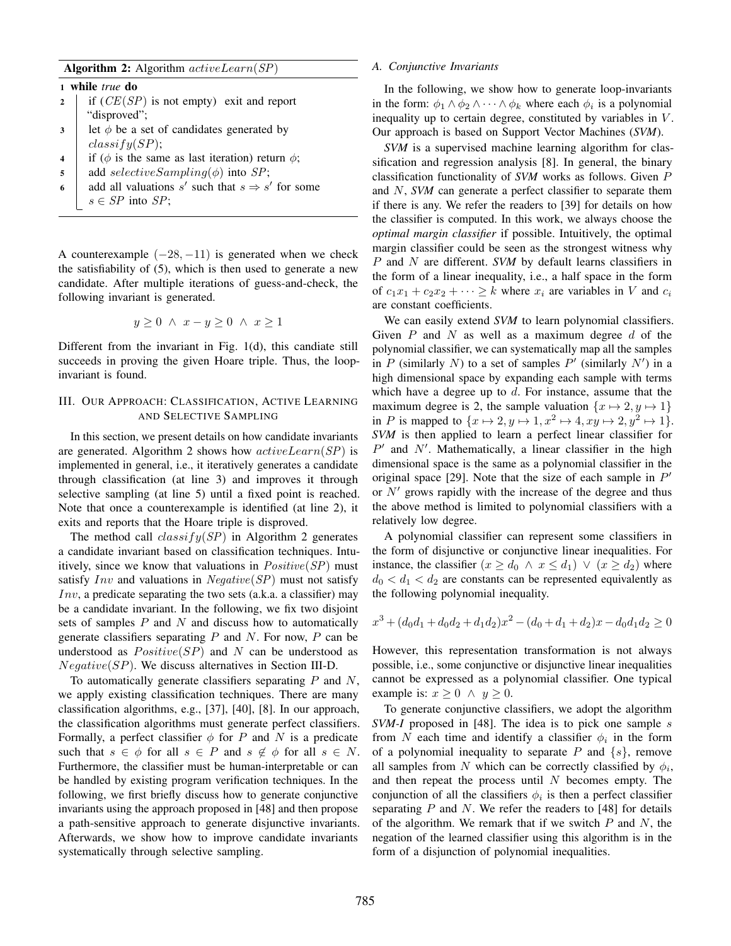## Algorithm 2: Algorithm  $activeLearn(SP)$

<sup>1</sup> while *true* do

- 2 if  $(CE(SP)$  is not empty) exit and report "disproved";
- $3$  let  $\phi$  be a set of candidates generated by  $classify(SP);$
- 4 if ( $\phi$  is the same as last iteration) return  $\phi$ ;
- 5 add selective Sampling( $\phi$ ) into SP;
- 6 add all valuations s' such that  $s \Rightarrow s'$  for some  $s \in SP$  into  $SP$ ;

A counterexample  $(-28, -11)$  is generated when we check the satisfiability of (5), which is then used to generate a new candidate. After multiple iterations of guess-and-check, the following invariant is generated.

$$
y \ge 0 \ \land \ x - y \ge 0 \ \land \ x \ge 1
$$

Different from the invariant in Fig. 1(d), this candiate still succeeds in proving the given Hoare triple. Thus, the loopinvariant is found.

# III. OUR APPROACH: CLASSIFICATION, ACTIVE LEARNING AND SELECTIVE SAMPLING

In this section, we present details on how candidate invariants are generated. Algorithm 2 shows how  $activeLearn(SP)$  is implemented in general, i.e., it iteratively generates a candidate through classification (at line 3) and improves it through selective sampling (at line 5) until a fixed point is reached. Note that once a counterexample is identified (at line 2), it exits and reports that the Hoare triple is disproved.

The method call  $classify(SP)$  in Algorithm 2 generates a candidate invariant based on classification techniques. Intuitively, since we know that valuations in  $Positive(SP)$  must satisfy  $Inv$  and valuations in  $Negative(SP)$  must not satisfy *Inv*, a predicate separating the two sets (a.k.a. a classifier) may be a candidate invariant. In the following, we fix two disjoint sets of samples  $P$  and  $N$  and discuss how to automatically generate classifiers separating  $P$  and  $N$ . For now,  $P$  can be understood as  $Positive(SP)$  and N can be understood as  $Negative(SP)$ . We discuss alternatives in Section III-D.

To automatically generate classifiers separating  $P$  and  $N$ , we apply existing classification techniques. There are many classification algorithms, e.g., [37], [40], [8]. In our approach, the classification algorithms must generate perfect classifiers. Formally, a perfect classifier  $\phi$  for P and N is a predicate such that  $s \in \phi$  for all  $s \in P$  and  $s \notin \phi$  for all  $s \in N$ . Furthermore, the classifier must be human-interpretable or can be handled by existing program verification techniques. In the following, we first briefly discuss how to generate conjunctive invariants using the approach proposed in [48] and then propose a path-sensitive approach to generate disjunctive invariants. Afterwards, we show how to improve candidate invariants systematically through selective sampling.

# *A. Conjunctive Invariants*

In the following, we show how to generate loop-invariants in the form:  $\phi_1 \wedge \phi_2 \wedge \cdots \wedge \phi_k$  where each  $\phi_i$  is a polynomial inequality up to certain degree, constituted by variables in V . Our approach is based on Support Vector Machines (*SVM*).

*SVM* is a supervised machine learning algorithm for classification and regression analysis [8]. In general, the binary classification functionality of *SVM* works as follows. Given P and N, *SVM* can generate a perfect classifier to separate them if there is any. We refer the readers to [39] for details on how the classifier is computed. In this work, we always choose the *optimal margin classifier* if possible. Intuitively, the optimal margin classifier could be seen as the strongest witness why P and N are different. *SVM* by default learns classifiers in the form of a linear inequality, i.e., a half space in the form of  $c_1x_1 + c_2x_2 + \cdots \ge k$  where  $x_i$  are variables in V and  $c_i$ are constant coefficients.

We can easily extend *SVM* to learn polynomial classifiers. Given  $P$  and  $N$  as well as a maximum degree  $d$  of the polynomial classifier, we can systematically map all the samples in P (similarly N) to a set of samples  $P'$  (similarly N') in a high dimensional space by expanding each sample with terms which have a degree up to  $d$ . For instance, assume that the maximum degree is 2, the sample valuation  $\{x \mapsto 2, y \mapsto 1\}$ in P is mapped to  $\{x \mapsto 2, y \mapsto 1, x^2 \mapsto 4, xy \mapsto 2, y^2 \mapsto 1\}.$ *SVM* is then applied to learn a perfect linear classifier for  $P'$  and  $N'$ . Mathematically, a linear classifier in the high dimensional space is the same as a polynomial classifier in the original space [29]. Note that the size of each sample in  $P'$ or  $N'$  grows rapidly with the increase of the degree and thus the above method is limited to polynomial classifiers with a relatively low degree.

A polynomial classifier can represent some classifiers in the form of disjunctive or conjunctive linear inequalities. For instance, the classifier  $(x \ge d_0 \land x \le d_1) \lor (x \ge d_2)$  where  $d_0 < d_1 < d_2$  are constants can be represented equivalently as the following polynomial inequality.

$$
x^{3} + (d_{0}d_{1} + d_{0}d_{2} + d_{1}d_{2})x^{2} - (d_{0} + d_{1} + d_{2})x - d_{0}d_{1}d_{2} \ge 0
$$

However, this representation transformation is not always possible, i.e., some conjunctive or disjunctive linear inequalities cannot be expressed as a polynomial classifier. One typical example is:  $x \geq 0 \land y \geq 0$ .

To generate conjunctive classifiers, we adopt the algorithm *SVM-I* proposed in [48]. The idea is to pick one sample s from N each time and identify a classifier  $\phi_i$  in the form of a polynomial inequality to separate P and  $\{s\}$ , remove all samples from N which can be correctly classified by  $\phi_i$ , and then repeat the process until  $N$  becomes empty. The conjunction of all the classifiers  $\phi_i$  is then a perfect classifier separating  $P$  and  $N$ . We refer the readers to [48] for details of the algorithm. We remark that if we switch  $P$  and  $N$ , the negation of the learned classifier using this algorithm is in the form of a disjunction of polynomial inequalities.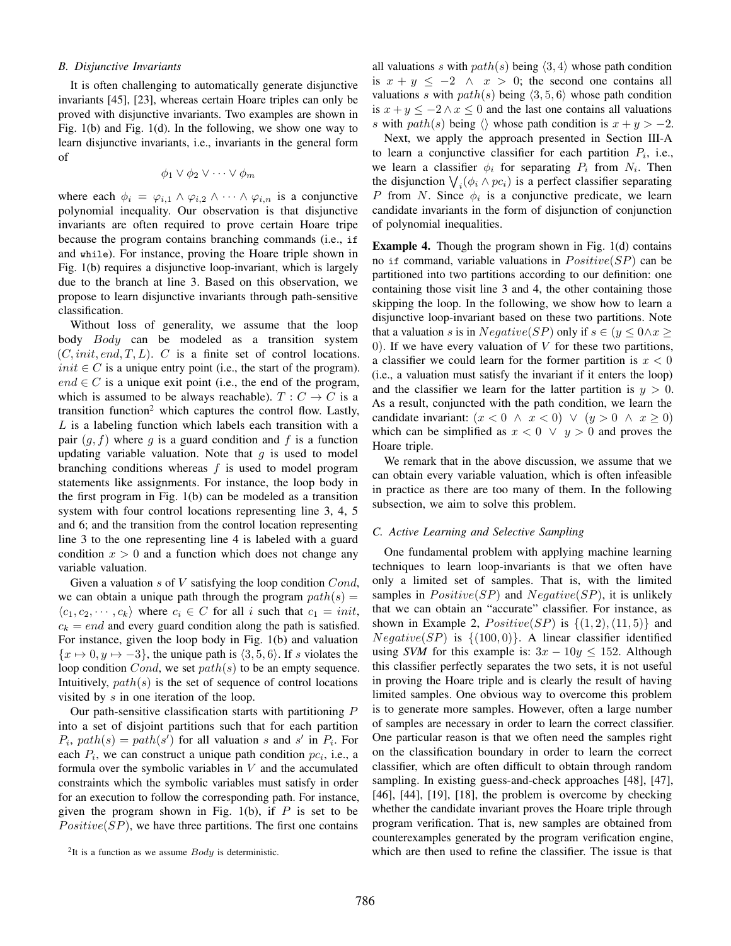# *B. Disjunctive Invariants*

It is often challenging to automatically generate disjunctive invariants [45], [23], whereas certain Hoare triples can only be proved with disjunctive invariants. Two examples are shown in Fig. 1(b) and Fig. 1(d). In the following, we show one way to learn disjunctive invariants, i.e., invariants in the general form of

$$
\phi_1 \vee \phi_2 \vee \cdots \vee \phi_m
$$

where each  $\phi_i = \varphi_{i,1} \wedge \varphi_{i,2} \wedge \cdots \wedge \varphi_{i,n}$  is a conjunctive polynomial inequality. Our observation is that disjunctive invariants are often required to prove certain Hoare tripe because the program contains branching commands (i.e., if and while). For instance, proving the Hoare triple shown in Fig. 1(b) requires a disjunctive loop-invariant, which is largely due to the branch at line 3. Based on this observation, we propose to learn disjunctive invariants through path-sensitive classification.

Without loss of generality, we assume that the loop body Body can be modeled as a transition system  $(C, init, end, T, L)$ . C is a finite set of control locations.  $init \in C$  is a unique entry point (i.e., the start of the program).  $end \in C$  is a unique exit point (i.e., the end of the program, which is assumed to be always reachable).  $T: C \rightarrow C$  is a transition function<sup>2</sup> which captures the control flow. Lastly,  $L$  is a labeling function which labels each transition with a pair  $(g, f)$  where g is a guard condition and f is a function updating variable valuation. Note that  $g$  is used to model branching conditions whereas  $f$  is used to model program statements like assignments. For instance, the loop body in the first program in Fig. 1(b) can be modeled as a transition system with four control locations representing line 3, 4, 5 and 6; and the transition from the control location representing line 3 to the one representing line 4 is labeled with a guard condition  $x > 0$  and a function which does not change any variable valuation.

Given a valuation  $s$  of  $V$  satisfying the loop condition  $Cond$ , we can obtain a unique path through the program  $path(s) =$  $\langle c_1, c_2, \cdots, c_k \rangle$  where  $c_i \in C$  for all i such that  $c_1 = init$ ,  $c_k = end$  and every guard condition along the path is satisfied. For instance, given the loop body in Fig. 1(b) and valuation  ${x \mapsto 0, y \mapsto -3}$ , the unique path is  $\langle 3, 5, 6 \rangle$ . If s violates the loop condition Cond, we set  $path(s)$  to be an empty sequence. Intuitively,  $path(s)$  is the set of sequence of control locations visited by s in one iteration of the loop.

Our path-sensitive classification starts with partitioning  $P$ into a set of disjoint partitions such that for each partition  $P_i$ ,  $path(s) = path(s')$  for all valuation s and s' in  $P_i$ . For each  $P_i$ , we can construct a unique path condition  $pc_i$ , i.e., a formula over the symbolic variables in  $V$  and the accumulated constraints which the symbolic variables must satisfy in order for an execution to follow the corresponding path. For instance, given the program shown in Fig. 1(b), if  $P$  is set to be  $Positive(SP)$ , we have three partitions. The first one contains

all valuations s with  $path(s)$  being  $\langle 3, 4 \rangle$  whose path condition is  $x + y \le -2 \land x > 0$ ; the second one contains all valuations s with  $path(s)$  being  $\langle 3, 5, 6 \rangle$  whose path condition is  $x + y \le -2 \wedge x \le 0$  and the last one contains all valuations s with path(s) being  $\langle \rangle$  whose path condition is  $x + y > -2$ .

Next, we apply the approach presented in Section III-A to learn a conjunctive classifier for each partition  $P_i$ , i.e., we learn a classifier  $\phi_i$  for separating  $P_i$  from  $N_i$ . Then the disjunction  $\bigvee_i (\phi_i \wedge pc_i)$  is a perfect classifier separating P from N. Since  $\phi_i$  is a conjunctive predicate, we learn candidate invariants in the form of disjunction of conjunction of polynomial inequalities.

**Example 4.** Though the program shown in Fig. 1(d) contains no if command, variable valuations in  $Positive(SP)$  can be partitioned into two partitions according to our definition: one containing those visit line 3 and 4, the other containing those skipping the loop. In the following, we show how to learn a disjunctive loop-invariant based on these two partitions. Note that a valuation s is in  $Negative(SP)$  only if  $s \in (y \leq 0 \land x \geq 0)$ 0). If we have every valuation of  $V$  for these two partitions, a classifier we could learn for the former partition is  $x < 0$ (i.e., a valuation must satisfy the invariant if it enters the loop) and the classifier we learn for the latter partition is  $y > 0$ . As a result, conjuncted with the path condition, we learn the candidate invariant:  $(x < 0 \land x < 0) \lor (y > 0 \land x \ge 0)$ which can be simplified as  $x < 0 \lor y > 0$  and proves the Hoare triple.

We remark that in the above discussion, we assume that we can obtain every variable valuation, which is often infeasible in practice as there are too many of them. In the following subsection, we aim to solve this problem.

#### *C. Active Learning and Selective Sampling*

One fundamental problem with applying machine learning techniques to learn loop-invariants is that we often have only a limited set of samples. That is, with the limited samples in  $Positive(SP)$  and  $Negative(SP)$ , it is unlikely that we can obtain an "accurate" classifier. For instance, as shown in Example 2,  $Positive(SP)$  is  $\{(1, 2), (11, 5)\}$  and  $Negative(SP)$  is  $\{(100, 0)\}$ . A linear classifier identified using *SVM* for this example is:  $3x - 10y \le 152$ . Although this classifier perfectly separates the two sets, it is not useful in proving the Hoare triple and is clearly the result of having limited samples. One obvious way to overcome this problem is to generate more samples. However, often a large number of samples are necessary in order to learn the correct classifier. One particular reason is that we often need the samples right on the classification boundary in order to learn the correct classifier, which are often difficult to obtain through random sampling. In existing guess-and-check approaches [48], [47], [46], [44], [19], [18], the problem is overcome by checking whether the candidate invariant proves the Hoare triple through program verification. That is, new samples are obtained from counterexamples generated by the program verification engine, which are then used to refine the classifier. The issue is that

<sup>&</sup>lt;sup>2</sup>It is a function as we assume  $Body$  is deterministic.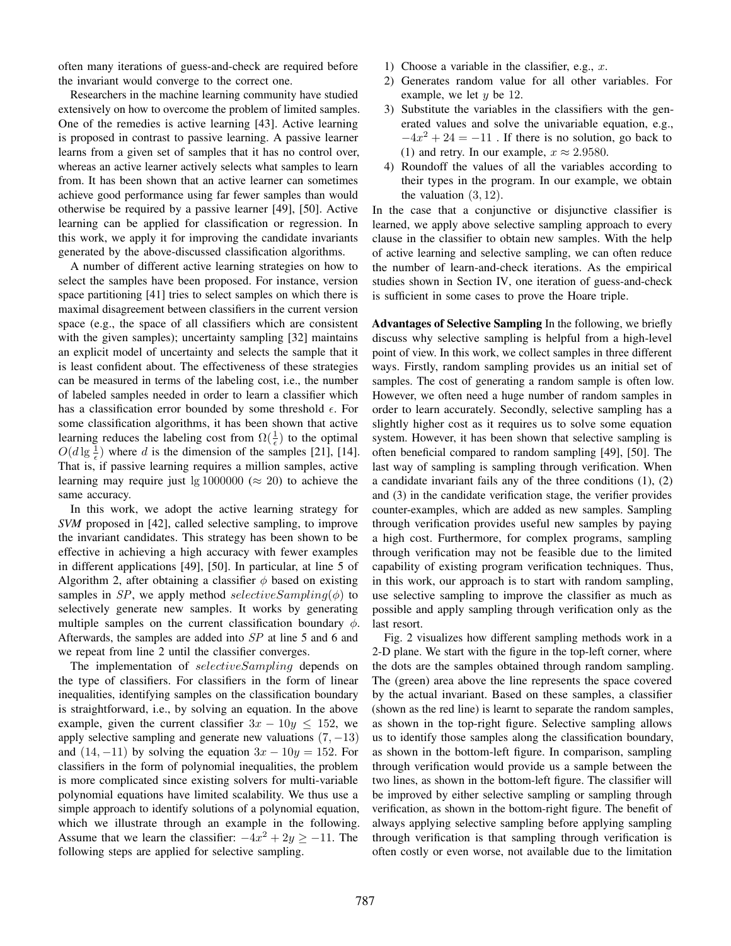often many iterations of guess-and-check are required before the invariant would converge to the correct one.

Researchers in the machine learning community have studied extensively on how to overcome the problem of limited samples. One of the remedies is active learning [43]. Active learning is proposed in contrast to passive learning. A passive learner learns from a given set of samples that it has no control over, whereas an active learner actively selects what samples to learn from. It has been shown that an active learner can sometimes achieve good performance using far fewer samples than would otherwise be required by a passive learner [49], [50]. Active learning can be applied for classification or regression. In this work, we apply it for improving the candidate invariants generated by the above-discussed classification algorithms.

A number of different active learning strategies on how to select the samples have been proposed. For instance, version space partitioning [41] tries to select samples on which there is maximal disagreement between classifiers in the current version space (e.g., the space of all classifiers which are consistent with the given samples); uncertainty sampling [32] maintains an explicit model of uncertainty and selects the sample that it is least confident about. The effectiveness of these strategies can be measured in terms of the labeling cost, i.e., the number of labeled samples needed in order to learn a classifier which has a classification error bounded by some threshold  $\epsilon$ . For some classification algorithms, it has been shown that active learning reduces the labeling cost from  $\Omega(\frac{1}{\epsilon})$  to the optimal  $O(d \lg \frac{1}{\epsilon})$  where d is the dimension of the samples [21], [14]. That is, if passive learning requires a million samples, active learning may require just lg 1000000 ( $\approx$  20) to achieve the same accuracy.

In this work, we adopt the active learning strategy for *SVM* proposed in [42], called selective sampling, to improve the invariant candidates. This strategy has been shown to be effective in achieving a high accuracy with fewer examples in different applications [49], [50]. In particular, at line 5 of Algorithm 2, after obtaining a classifier  $\phi$  based on existing samples in SP, we apply method selectiveSampling( $\phi$ ) to selectively generate new samples. It works by generating multiple samples on the current classification boundary  $\phi$ . Afterwards, the samples are added into SP at line 5 and 6 and we repeat from line 2 until the classifier converges.

The implementation of selectiveSampling depends on the type of classifiers. For classifiers in the form of linear inequalities, identifying samples on the classification boundary is straightforward, i.e., by solving an equation. In the above example, given the current classifier  $3x - 10y \le 152$ , we apply selective sampling and generate new valuations  $(7, -13)$ and  $(14, -11)$  by solving the equation  $3x - 10y = 152$ . For classifiers in the form of polynomial inequalities, the problem is more complicated since existing solvers for multi-variable polynomial equations have limited scalability. We thus use a simple approach to identify solutions of a polynomial equation, which we illustrate through an example in the following. Assume that we learn the classifier:  $-4x^2 + 2y \ge -11$ . The following steps are applied for selective sampling.

- 1) Choose a variable in the classifier, e.g.,  $x$ .
- 2) Generates random value for all other variables. For example, we let  $y$  be 12.
- 3) Substitute the variables in the classifiers with the generated values and solve the univariable equation, e.g.,  $-4x^2 + 24 = -11$ . If there is no solution, go back to (1) and retry. In our example,  $x \approx 2.9580$ .
- 4) Roundoff the values of all the variables according to their types in the program. In our example, we obtain the valuation  $(3, 12)$ .

In the case that a conjunctive or disjunctive classifier is learned, we apply above selective sampling approach to every clause in the classifier to obtain new samples. With the help of active learning and selective sampling, we can often reduce the number of learn-and-check iterations. As the empirical studies shown in Section IV, one iteration of guess-and-check is sufficient in some cases to prove the Hoare triple.

Advantages of Selective Sampling In the following, we briefly discuss why selective sampling is helpful from a high-level point of view. In this work, we collect samples in three different ways. Firstly, random sampling provides us an initial set of samples. The cost of generating a random sample is often low. However, we often need a huge number of random samples in order to learn accurately. Secondly, selective sampling has a slightly higher cost as it requires us to solve some equation system. However, it has been shown that selective sampling is often beneficial compared to random sampling [49], [50]. The last way of sampling is sampling through verification. When a candidate invariant fails any of the three conditions (1), (2) and (3) in the candidate verification stage, the verifier provides counter-examples, which are added as new samples. Sampling through verification provides useful new samples by paying a high cost. Furthermore, for complex programs, sampling through verification may not be feasible due to the limited capability of existing program verification techniques. Thus, in this work, our approach is to start with random sampling, use selective sampling to improve the classifier as much as possible and apply sampling through verification only as the last resort.

Fig. 2 visualizes how different sampling methods work in a 2-D plane. We start with the figure in the top-left corner, where the dots are the samples obtained through random sampling. The (green) area above the line represents the space covered by the actual invariant. Based on these samples, a classifier (shown as the red line) is learnt to separate the random samples, as shown in the top-right figure. Selective sampling allows us to identify those samples along the classification boundary, as shown in the bottom-left figure. In comparison, sampling through verification would provide us a sample between the two lines, as shown in the bottom-left figure. The classifier will be improved by either selective sampling or sampling through verification, as shown in the bottom-right figure. The benefit of always applying selective sampling before applying sampling through verification is that sampling through verification is often costly or even worse, not available due to the limitation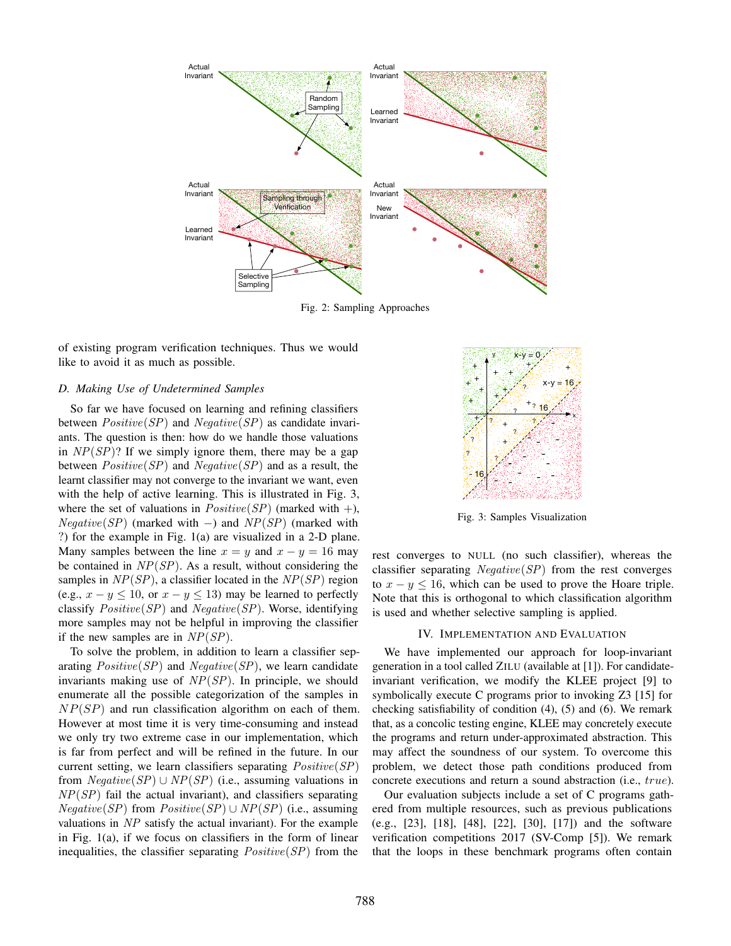

Fig. 2: Sampling Approaches

of existing program verification techniques. Thus we would like to avoid it as much as possible.

## *D. Making Use of Undetermined Samples*

So far we have focused on learning and refining classifiers between  $Positive(SP)$  and  $Negative(SP)$  as candidate invariants. The question is then: how do we handle those valuations in  $NP(SP)$ ? If we simply ignore them, there may be a gap between  $Positive(SP)$  and  $Negative(SP)$  and as a result, the learnt classifier may not converge to the invariant we want, even with the help of active learning. This is illustrated in Fig. 3, where the set of valuations in  $Positive(SP)$  (marked with +),  $Negative(SP)$  (marked with –) and  $NP(SP)$  (marked with ?) for the example in Fig. 1(a) are visualized in a 2-D plane. Many samples between the line  $x = y$  and  $x - y = 16$  may be contained in  $NP(SP)$ . As a result, without considering the samples in  $NP(SP)$ , a classifier located in the  $NP(SP)$  region (e.g.,  $x - y \le 10$ , or  $x - y \le 13$ ) may be learned to perfectly classify  $Positive(SP)$  and  $Negative(SP)$ . Worse, identifying more samples may not be helpful in improving the classifier if the new samples are in  $NP(SP)$ .

To solve the problem, in addition to learn a classifier separating  $Positive(SP)$  and  $Negative(SP)$ , we learn candidate invariants making use of  $NP(SP)$ . In principle, we should enumerate all the possible categorization of the samples in  $NP(SP)$  and run classification algorithm on each of them. However at most time it is very time-consuming and instead we only try two extreme case in our implementation, which is far from perfect and will be refined in the future. In our current setting, we learn classifiers separating  $Positive(SP)$ from  $Negative(SP) \cup NP(SP)$  (i.e., assuming valuations in  $NP(SP)$  fail the actual invariant), and classifiers separating  $Negative(SP)$  from  $Positive(SP) \cup NP(SP)$  (i.e., assuming valuations in  $NP$  satisfy the actual invariant). For the example in Fig. 1(a), if we focus on classifiers in the form of linear inequalities, the classifier separating  $Positive(SP)$  from the



Fig. 3: Samples Visualization

rest converges to NULL (no such classifier), whereas the classifier separating  $Negative(SP)$  from the rest converges to  $x - y \le 16$ , which can be used to prove the Hoare triple. Note that this is orthogonal to which classification algorithm is used and whether selective sampling is applied.

#### IV. IMPLEMENTATION AND EVALUATION

We have implemented our approach for loop-invariant generation in a tool called ZILU (available at [1]). For candidateinvariant verification, we modify the KLEE project [9] to symbolically execute C programs prior to invoking Z3 [15] for checking satisfiability of condition (4), (5) and (6). We remark that, as a concolic testing engine, KLEE may concretely execute the programs and return under-approximated abstraction. This may affect the soundness of our system. To overcome this problem, we detect those path conditions produced from concrete executions and return a sound abstraction (i.e., true).

Our evaluation subjects include a set of C programs gathered from multiple resources, such as previous publications (e.g., [23], [18], [48], [22], [30], [17]) and the software verification competitions 2017 (SV-Comp [5]). We remark that the loops in these benchmark programs often contain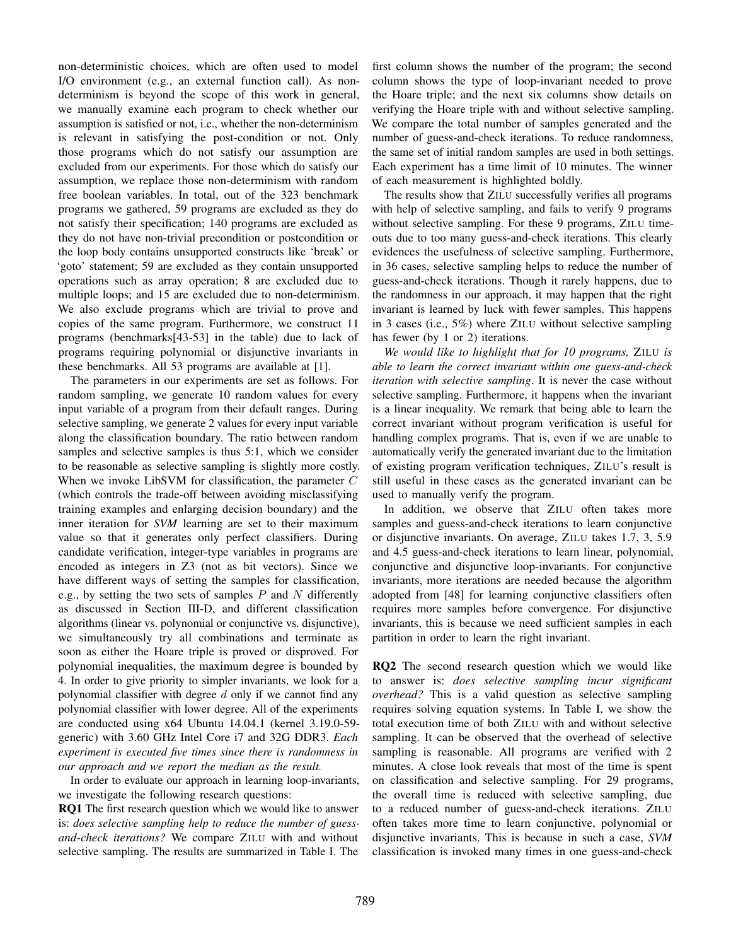non-deterministic choices, which are often used to model I/O environment (e.g., an external function call). As nondeterminism is beyond the scope of this work in general, we manually examine each program to check whether our assumption is satisfied or not, i.e., whether the non-determinism is relevant in satisfying the post-condition or not. Only those programs which do not satisfy our assumption are excluded from our experiments. For those which do satisfy our assumption, we replace those non-determinism with random free boolean variables. In total, out of the 323 benchmark programs we gathered, 59 programs are excluded as they do not satisfy their specification; 140 programs are excluded as they do not have non-trivial precondition or postcondition or the loop body contains unsupported constructs like 'break' or 'goto' statement; 59 are excluded as they contain unsupported operations such as array operation; 8 are excluded due to multiple loops; and 15 are excluded due to non-determinism. We also exclude programs which are trivial to prove and copies of the same program. Furthermore, we construct 11 programs (benchmarks[43-53] in the table) due to lack of programs requiring polynomial or disjunctive invariants in these benchmarks. All 53 programs are available at [1].

The parameters in our experiments are set as follows. For random sampling, we generate 10 random values for every input variable of a program from their default ranges. During selective sampling, we generate 2 values for every input variable along the classification boundary. The ratio between random samples and selective samples is thus 5:1, which we consider to be reasonable as selective sampling is slightly more costly. When we invoke LibSVM for classification, the parameter  $C$ (which controls the trade-off between avoiding misclassifying training examples and enlarging decision boundary) and the inner iteration for *SVM* learning are set to their maximum value so that it generates only perfect classifiers. During candidate verification, integer-type variables in programs are encoded as integers in Z3 (not as bit vectors). Since we have different ways of setting the samples for classification, e.g., by setting the two sets of samples  $P$  and  $N$  differently as discussed in Section III-D, and different classification algorithms (linear vs. polynomial or conjunctive vs. disjunctive), we simultaneously try all combinations and terminate as soon as either the Hoare triple is proved or disproved. For polynomial inequalities, the maximum degree is bounded by 4. In order to give priority to simpler invariants, we look for a polynomial classifier with degree  $d$  only if we cannot find any polynomial classifier with lower degree. All of the experiments are conducted using x64 Ubuntu 14.04.1 (kernel 3.19.0-59 generic) with 3.60 GHz Intel Core i7 and 32G DDR3. *Each experiment is executed five times since there is randomness in our approach and we report the median as the result.*

In order to evaluate our approach in learning loop-invariants, we investigate the following research questions:

RQ1 The first research question which we would like to answer is: *does selective sampling help to reduce the number of guessand-check iterations?* We compare ZILU with and without selective sampling. The results are summarized in Table I. The

first column shows the number of the program; the second column shows the type of loop-invariant needed to prove the Hoare triple; and the next six columns show details on verifying the Hoare triple with and without selective sampling. We compare the total number of samples generated and the number of guess-and-check iterations. To reduce randomness, the same set of initial random samples are used in both settings. Each experiment has a time limit of 10 minutes. The winner of each measurement is highlighted boldly.

The results show that ZILU successfully verifies all programs with help of selective sampling, and fails to verify 9 programs without selective sampling. For these 9 programs, ZILU timeouts due to too many guess-and-check iterations. This clearly evidences the usefulness of selective sampling. Furthermore, in 36 cases, selective sampling helps to reduce the number of guess-and-check iterations. Though it rarely happens, due to the randomness in our approach, it may happen that the right invariant is learned by luck with fewer samples. This happens in 3 cases (i.e., 5%) where ZILU without selective sampling has fewer (by 1 or 2) iterations.

*We would like to highlight that for 10 programs,* ZILU *is able to learn the correct invariant within one guess-and-check iteration with selective sampling*. It is never the case without selective sampling. Furthermore, it happens when the invariant is a linear inequality. We remark that being able to learn the correct invariant without program verification is useful for handling complex programs. That is, even if we are unable to automatically verify the generated invariant due to the limitation of existing program verification techniques, ZILU's result is still useful in these cases as the generated invariant can be used to manually verify the program.

In addition, we observe that ZILU often takes more samples and guess-and-check iterations to learn conjunctive or disjunctive invariants. On average, ZILU takes 1.7, 3, 5.9 and 4.5 guess-and-check iterations to learn linear, polynomial, conjunctive and disjunctive loop-invariants. For conjunctive invariants, more iterations are needed because the algorithm adopted from [48] for learning conjunctive classifiers often requires more samples before convergence. For disjunctive invariants, this is because we need sufficient samples in each partition in order to learn the right invariant.

RQ2 The second research question which we would like to answer is: *does selective sampling incur significant overhead?* This is a valid question as selective sampling requires solving equation systems. In Table I, we show the total execution time of both ZILU with and without selective sampling. It can be observed that the overhead of selective sampling is reasonable. All programs are verified with 2 minutes. A close look reveals that most of the time is spent on classification and selective sampling. For 29 programs, the overall time is reduced with selective sampling, due to a reduced number of guess-and-check iterations. ZILU often takes more time to learn conjunctive, polynomial or disjunctive invariants. This is because in such a case, *SVM* classification is invoked many times in one guess-and-check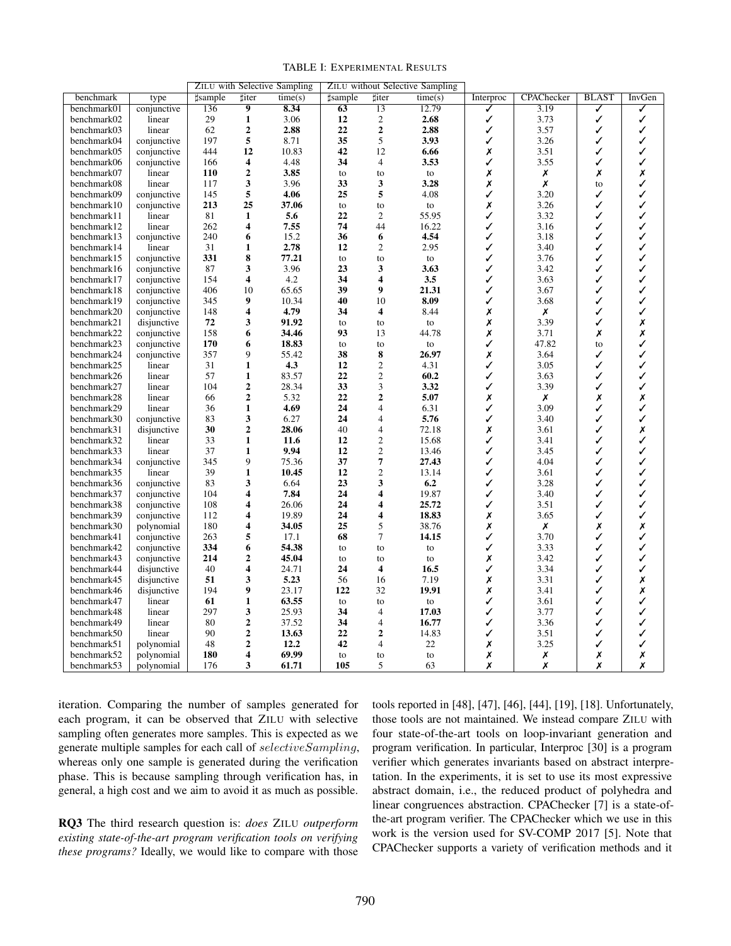TABLE I: EXPERIMENTAL RESULTS

|             |             | ZILU with Selective Sampling |                  | ZILU without Selective Sampling |                |                         |              |           |            |              |                  |
|-------------|-------------|------------------------------|------------------|---------------------------------|----------------|-------------------------|--------------|-----------|------------|--------------|------------------|
| benchmark   | type        | <b>‡sample</b>               | titer            | time(s)                         | <b>‡sample</b> | titer                   | time(s)      | Interproc | CPAChecker | <b>BLAST</b> | InvGen           |
| benchmark01 | conjunctive | 136                          | 9                | 8.34                            | 63             | 13                      | 12.79        |           | 3.19       | ✓            |                  |
| benchmark02 | linear      | 29                           | 1                | 3.06                            | 12             | 2                       | 2.68         | ✓         | 3.73       | ✓            | ✓                |
| benchmark03 | linear      | 62                           | $\boldsymbol{2}$ | 2.88                            | 22             | $\overline{\mathbf{c}}$ | 2.88         | √         | 3.57       | ✓            | ✓                |
| benchmark04 | conjunctive | 197                          | 5                | 8.71                            | 35             | 5                       | 3.93         | ✓         | 3.26       | ✓            | ✓                |
| benchmark05 | conjunctive | 444                          | 12               | 10.83                           | 42             | 12                      | 6.66         | Х         | 3.51       | ✓            | ✓                |
| benchmark06 | conjunctive | 166                          | 4                | 4.48                            | 34             | 4                       | 3.53         | ✓         | 3.55       | ✓            | ✓                |
| benchmark07 | linear      | 110                          | $\mathbf{2}$     | 3.85                            | to             | to                      | to           | Х         | Х          | Х            | X                |
| benchmark08 | linear      | 117                          | 3                | 3.96                            | 33             | 3                       | 3.28         | Х         | Х          | to           | ✓                |
| benchmark09 | conjunctive | 145                          | 5                | 4.06                            | 25             | 5                       | 4.08         | ✓         | 3.20       | ✓            | ✓                |
| benchmark10 | conjunctive | 213                          | 25               | 37.06                           | to             | to                      | to           | Х         | 3.26       | ✓            | ✓                |
| benchmark11 | linear      | 81                           | $\mathbf{1}$     | 5.6                             | 22             | $\overline{c}$          | 55.95        | ✓         | 3.32       | ✓            | ✓                |
| benchmark12 | linear      | 262                          | 4                | 7.55                            | 74             | 44                      | 16.22        | ✓         | 3.16       | ✓            | ✓                |
| benchmark13 | conjunctive | 240                          | 6                | 15.2                            | 36             | 6                       | 4.54         | ✓         | 3.18       | ✓            | ✓                |
| benchmark14 | linear      | 31                           | $\mathbf{1}$     | 2.78                            | 12             | $\overline{c}$          | 2.95         | ✓         | 3.40       | ✓            | ✓                |
| benchmark15 | conjunctive | 331                          | 8                | 77.21                           | to             | to                      | to           | ✓         | 3.76       | ✓            | ✓                |
| benchmark16 | conjunctive | 87                           | 3                | 3.96                            | 23             | 3                       | 3.63         | ✓         | 3.42       | ✓            | ✓                |
| benchmark17 | conjunctive | 154                          | 4                | 4.2                             | 34             | 4                       | 3.5          | ✓         | 3.63       | ✓            | ✓                |
| benchmark18 | conjunctive | 406                          | 10               | 65.65                           | 39             | 9                       | 21.31        | ✓         | 3.67       | ✓            | ✓                |
| benchmark19 | conjunctive | 345                          | 9                | 10.34                           | 40             | 10                      | 8.09         | ✓         | 3.68       | ✓            | ✓                |
| benchmark20 | conjunctive | 148                          | 4                | 4.79                            | 34             | 4                       | 8.44         | Х         | X          | ✓            | ✓                |
| benchmark21 | disjunctive | 72                           | 3                | 91.92                           | to             | to                      | to           | Х         | 3.39       | ✓            | X                |
| benchmark22 | conjunctive | 158                          | 6                | 34.46                           | 93             | 13                      | 44.78        | Х         | 3.71       | Х            | X                |
| benchmark23 | conjunctive | 170                          | 6                | 18.83                           | to             | to                      | to           | ✓         | 47.82      | to           | ✓                |
| benchmark24 | conjunctive | 357                          | 9                | 55.42                           | 38             | 8                       | 26.97        | Х         | 3.64       | ✓            | ✓                |
| benchmark25 | linear      | 31                           | $\mathbf{1}$     | 4.3                             | 12             | $\overline{c}$          | 4.31         | ✓         | 3.05       | ✓            | ✓                |
| benchmark26 | linear      | 57                           | $\mathbf{1}$     | 83.57                           | 22             | $\mathfrak{2}$          | 60.2         | ✓         | 3.63       | ✓            | ✓                |
| benchmark27 | linear      | 104                          | $\mathbf{2}$     | 28.34                           | 33             | 3                       | 3.32         | ✓         | 3.39       | ✓            | ✓                |
| benchmark28 | linear      | 66                           | $\overline{2}$   | 5.32                            | 22             | $\overline{2}$          | 5.07         | Х         |            |              | X                |
| benchmark29 | linear      |                              | $\mathbf{1}$     | 4.69                            | 24             | 4                       |              | ✓         | Х<br>3.09  | Х<br>✓       | ✓                |
|             |             | 36                           |                  |                                 | 24             | $\overline{4}$          | 6.31<br>5.76 |           |            | ✓            | ✓                |
| benchmark30 | conjunctive | 83                           | 3                | 6.27                            |                |                         |              | ✓         | 3.40       |              |                  |
| benchmark31 | disjunctive | 30                           | $\overline{2}$   | 28.06                           | 40             | 4                       | 72.18        | Х         | 3.61       | ✓            | X<br>✓           |
| benchmark32 | linear      | 33                           | $\mathbf{1}$     | 11.6                            | 12             | $\mathfrak{2}$          | 15.68        | ✓         | 3.41       | ✓            |                  |
| benchmark33 | linear      | 37                           | $\mathbf{1}$     | 9.94                            | 12             | $\overline{c}$          | 13.46        | ✓         | 3.45       | ✓            | ✓                |
| benchmark34 | conjunctive | 345                          | 9                | 75.36                           | 37             | 7                       | 27.43        | ✓         | 4.04       | ✓            | ✓                |
| benchmark35 | linear      | 39                           | $\mathbf{1}$     | 10.45                           | 12             | $\overline{\mathbf{c}}$ | 13.14        | ✓         | 3.61       | ✓            | ✓                |
| benchmark36 | conjunctive | 83                           | 3                | 6.64                            | 23             | 3                       | 6.2          | ✓         | 3.28       | ✓            | ✓                |
| benchmark37 | conjunctive | 104                          | 4                | 7.84                            | 24             | 4                       | 19.87        | ✓         | 3.40       | ✓            | ✓                |
| benchmark38 | conjunctive | 108                          | 4                | 26.06                           | 24             | 4                       | 25.72        | ✓         | 3.51       | ✓            | ✓                |
| benchmark39 | conjunctive | 112                          | 4                | 19.89                           | 24             | 4                       | 18.83        | Х         | 3.65       | ✓            | ✓                |
| benchmark30 | polynomial  | 180                          | 4                | 34.05                           | 25             | 5                       | 38.76        | Х         | X          | Х            | X                |
| benchmark41 | conjunctive | 263                          | 5                | 17.1                            | 68             | 7                       | 14.15        | ✓         | 3.70       | ✓            | ✓                |
| benchmark42 | conjunctive | 334                          | 6                | 54.38                           | to             | to                      | to           | ✓         | 3.33       | ✓            | ✓                |
| benchmark43 | conjunctive | 214                          | $\mathbf{2}$     | 45.04                           | to             | to                      | to           | Х         | 3.42       | ✓            | ✓                |
| benchmark44 | disjunctive | 40                           | 4                | 24.71                           | 24             | 4                       | 16.5         | ✓         | 3.34       | ✓            | ✓                |
| benchmark45 | disjunctive | 51                           | 3                | 5.23                            | 56             | 16                      | 7.19         | Х         | 3.31       | ✓            | X                |
| benchmark46 | disjunctive | 194                          | 9                | 23.17                           | 122            | 32                      | 19.91        | Х         | 3.41       | ✓            | $\boldsymbol{x}$ |
| benchmark47 | linear      | 61                           | $\mathbf{1}$     | 63.55                           | to             | to                      | to           | ✓         | 3.61       | ✓            | $\checkmark$     |
| benchmark48 | linear      | 297                          | 3                | 25.93                           | 34             | 4                       | 17.03        | ✓         | 3.77       | ✓            | ✓                |
| benchmark49 | linear      | 80                           | $\mathbf{2}$     | 37.52                           | 34             | 4                       | 16.77        | ✓         | 3.36       | ✓            | ✓                |
| benchmark50 | linear      | 90                           | $\overline{2}$   | 13.63                           | 22             | $\mathbf{2}$            | 14.83        | ✓         | 3.51       | ✓            | ✓                |
| benchmark51 | polynomial  | 48                           | $\mathbf{2}$     | 12.2                            | 42             | $\overline{4}$          | 22           | Х         | 3.25       | ✓            | ✓                |
| benchmark52 | polynomial  | 180                          | 4                | 69.99                           | to             | to                      | to           | Х         | Х          | Х            | Х                |
| benchmark53 | polynomial  | 176                          | 3                | 61.71                           | 105            | 5                       | 63           | Х         | Х          | Х            | X                |
|             |             |                              |                  |                                 |                |                         |              |           |            |              |                  |

iteration. Comparing the number of samples generated for each program, it can be observed that ZILU with selective sampling often generates more samples. This is expected as we generate multiple samples for each call of selectiveSampling, whereas only one sample is generated during the verification phase. This is because sampling through verification has, in general, a high cost and we aim to avoid it as much as possible.

RQ3 The third research question is: *does* ZILU *outperform existing state-of-the-art program verification tools on verifying these programs?* Ideally, we would like to compare with those tools reported in [48], [47], [46], [44], [19], [18]. Unfortunately, those tools are not maintained. We instead compare ZILU with four state-of-the-art tools on loop-invariant generation and program verification. In particular, Interproc [30] is a program verifier which generates invariants based on abstract interpretation. In the experiments, it is set to use its most expressive abstract domain, i.e., the reduced product of polyhedra and linear congruences abstraction. CPAChecker [7] is a state-ofthe-art program verifier. The CPAChecker which we use in this work is the version used for SV-COMP 2017 [5]. Note that CPAChecker supports a variety of verification methods and it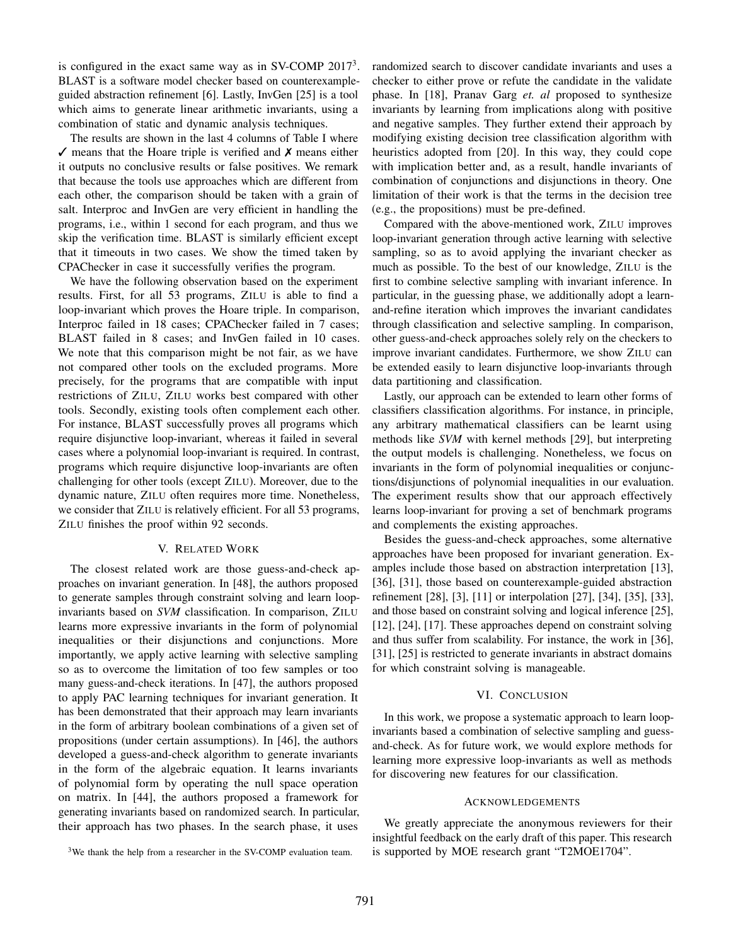is configured in the exact same way as in SV-COMP  $2017<sup>3</sup>$ . BLAST is a software model checker based on counterexampleguided abstraction refinement [6]. Lastly, InvGen [25] is a tool which aims to generate linear arithmetic invariants, using a combination of static and dynamic analysis techniques.

The results are shown in the last 4 columns of Table I where  $\checkmark$  means that the Hoare triple is verified and  $\checkmark$  means either it outputs no conclusive results or false positives. We remark that because the tools use approaches which are different from each other, the comparison should be taken with a grain of salt. Interproc and InvGen are very efficient in handling the programs, i.e., within 1 second for each program, and thus we skip the verification time. BLAST is similarly efficient except that it timeouts in two cases. We show the timed taken by CPAChecker in case it successfully verifies the program.

We have the following observation based on the experiment results. First, for all 53 programs, ZILU is able to find a loop-invariant which proves the Hoare triple. In comparison, Interproc failed in 18 cases; CPAChecker failed in 7 cases; BLAST failed in 8 cases; and InvGen failed in 10 cases. We note that this comparison might be not fair, as we have not compared other tools on the excluded programs. More precisely, for the programs that are compatible with input restrictions of ZILU, ZILU works best compared with other tools. Secondly, existing tools often complement each other. For instance, BLAST successfully proves all programs which require disjunctive loop-invariant, whereas it failed in several cases where a polynomial loop-invariant is required. In contrast, programs which require disjunctive loop-invariants are often challenging for other tools (except ZILU). Moreover, due to the dynamic nature, ZILU often requires more time. Nonetheless, we consider that ZILU is relatively efficient. For all 53 programs, ZILU finishes the proof within 92 seconds.

## V. RELATED WORK

The closest related work are those guess-and-check approaches on invariant generation. In [48], the authors proposed to generate samples through constraint solving and learn loopinvariants based on *SVM* classification. In comparison, ZILU learns more expressive invariants in the form of polynomial inequalities or their disjunctions and conjunctions. More importantly, we apply active learning with selective sampling so as to overcome the limitation of too few samples or too many guess-and-check iterations. In [47], the authors proposed to apply PAC learning techniques for invariant generation. It has been demonstrated that their approach may learn invariants in the form of arbitrary boolean combinations of a given set of propositions (under certain assumptions). In [46], the authors developed a guess-and-check algorithm to generate invariants in the form of the algebraic equation. It learns invariants of polynomial form by operating the null space operation on matrix. In [44], the authors proposed a framework for generating invariants based on randomized search. In particular, their approach has two phases. In the search phase, it uses

randomized search to discover candidate invariants and uses a checker to either prove or refute the candidate in the validate phase. In [18], Pranav Garg *et. al* proposed to synthesize invariants by learning from implications along with positive and negative samples. They further extend their approach by modifying existing decision tree classification algorithm with heuristics adopted from [20]. In this way, they could cope with implication better and, as a result, handle invariants of combination of conjunctions and disjunctions in theory. One limitation of their work is that the terms in the decision tree (e.g., the propositions) must be pre-defined.

Compared with the above-mentioned work, ZILU improves loop-invariant generation through active learning with selective sampling, so as to avoid applying the invariant checker as much as possible. To the best of our knowledge, ZILU is the first to combine selective sampling with invariant inference. In particular, in the guessing phase, we additionally adopt a learnand-refine iteration which improves the invariant candidates through classification and selective sampling. In comparison, other guess-and-check approaches solely rely on the checkers to improve invariant candidates. Furthermore, we show ZILU can be extended easily to learn disjunctive loop-invariants through data partitioning and classification.

Lastly, our approach can be extended to learn other forms of classifiers classification algorithms. For instance, in principle, any arbitrary mathematical classifiers can be learnt using methods like *SVM* with kernel methods [29], but interpreting the output models is challenging. Nonetheless, we focus on invariants in the form of polynomial inequalities or conjunctions/disjunctions of polynomial inequalities in our evaluation. The experiment results show that our approach effectively learns loop-invariant for proving a set of benchmark programs and complements the existing approaches.

Besides the guess-and-check approaches, some alternative approaches have been proposed for invariant generation. Examples include those based on abstraction interpretation [13], [36], [31], those based on counterexample-guided abstraction refinement [28], [3], [11] or interpolation [27], [34], [35], [33], and those based on constraint solving and logical inference [25], [12], [24], [17]. These approaches depend on constraint solving and thus suffer from scalability. For instance, the work in [36], [31], [25] is restricted to generate invariants in abstract domains for which constraint solving is manageable.

## VI. CONCLUSION

In this work, we propose a systematic approach to learn loopinvariants based a combination of selective sampling and guessand-check. As for future work, we would explore methods for learning more expressive loop-invariants as well as methods for discovering new features for our classification.

## ACKNOWLEDGEMENTS

We greatly appreciate the anonymous reviewers for their insightful feedback on the early draft of this paper. This research is supported by MOE research grant "T2MOE1704".

<sup>&</sup>lt;sup>3</sup>We thank the help from a researcher in the SV-COMP evaluation team.